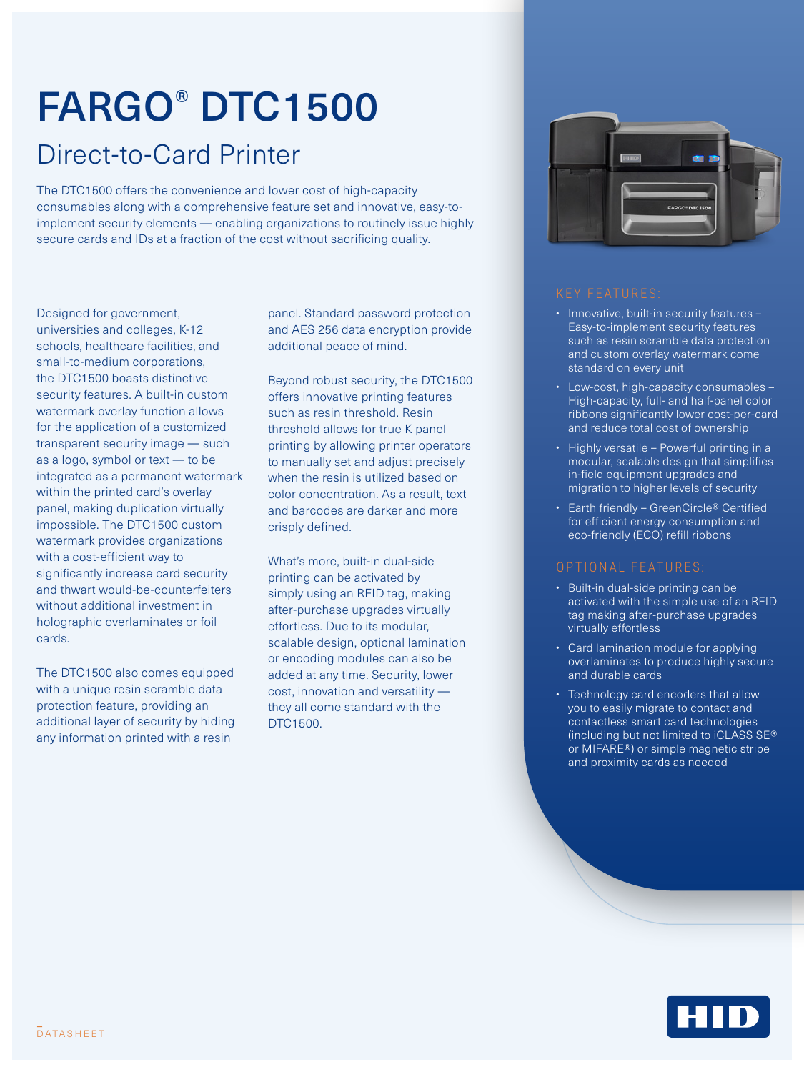# FARGO® DTC1500

### Direct-to-Card Printer

The DTC1500 offers the convenience and lower cost of high-capacity consumables along with a comprehensive feature set and innovative, easy-toimplement security elements — enabling organizations to routinely issue highly secure cards and IDs at a fraction of the cost without sacrificing quality.

Designed for government, universities and colleges, K-12 schools, healthcare facilities, and small-to-medium corporations, the DTC1500 boasts distinctive security features. A built-in custom watermark overlay function allows for the application of a customized transparent security image — such as a logo, symbol or text — to be integrated as a permanent watermark within the printed card's overlay panel, making duplication virtually impossible. The DTC1500 custom watermark provides organizations with a cost-efficient way to significantly increase card security and thwart would-be-counterfeiters without additional investment in holographic overlaminates or foil cards.

The DTC1500 also comes equipped with a unique resin scramble data protection feature, providing an additional layer of security by hiding any information printed with a resin

panel. Standard password protection and AES 256 data encryption provide additional peace of mind.

Beyond robust security, the DTC1500 offers innovative printing features such as resin threshold. Resin threshold allows for true K panel printing by allowing printer operators to manually set and adjust precisely when the resin is utilized based on color concentration. As a result, text and barcodes are darker and more crisply defined.

What's more, built-in dual-side printing can be activated by simply using an RFID tag, making after-purchase upgrades virtually effortless. Due to its modular, scalable design, optional lamination or encoding modules can also be added at any time. Security, lower cost, innovation and versatility they all come standard with the DTC1500.



- Innovative, built-in security features -Easy-to-implement security features such as resin scramble data protection and custom overlay watermark come standard on every unit
- Low-cost, high-capacity consumables High-capacity, full- and half-panel color ribbons significantly lower cost-per-card and reduce total cost of ownership
- Highly versatile Powerful printing in a modular, scalable design that simplifies in-field equipment upgrades and migration to higher levels of security
- Earth friendly GreenCircle® Certified for efficient energy consumption and eco-friendly (ECO) refill ribbons

### OPTIONAL FEATURES:

- Built-in dual-side printing can be activated with the simple use of an RFID tag making after-purchase upgrades virtually effortless
- Card lamination module for applying overlaminates to produce highly secure and durable cards
- Technology card encoders that allow you to easily migrate to contact and contactless smart card technologies (including but not limited to iCLASS SE® or MIFARE®) or simple magnetic stripe and proximity cards as needed